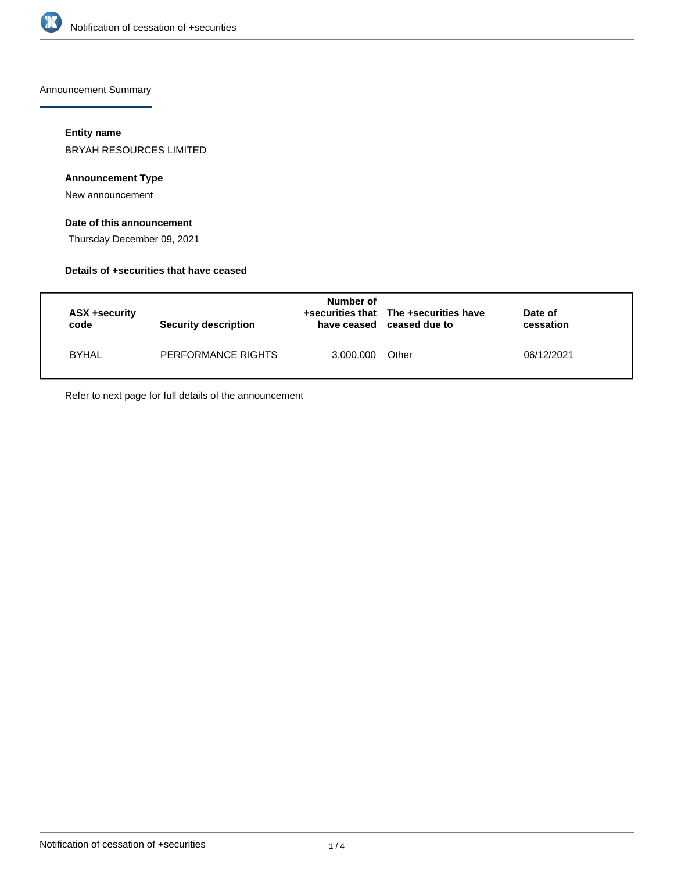

Announcement Summary

#### **Entity name**

BRYAH RESOURCES LIMITED

## **Announcement Type**

New announcement

## **Date of this announcement**

Thursday December 09, 2021

### **Details of +securities that have ceased**

| ASX +security<br>code | Security description | Number of<br>have ceased | +securities that The +securities have<br>ceased due to | Date of<br>cessation |  |
|-----------------------|----------------------|--------------------------|--------------------------------------------------------|----------------------|--|
| <b>BYHAL</b>          | PERFORMANCE RIGHTS   | 3,000,000                | Other                                                  | 06/12/2021           |  |

Refer to next page for full details of the announcement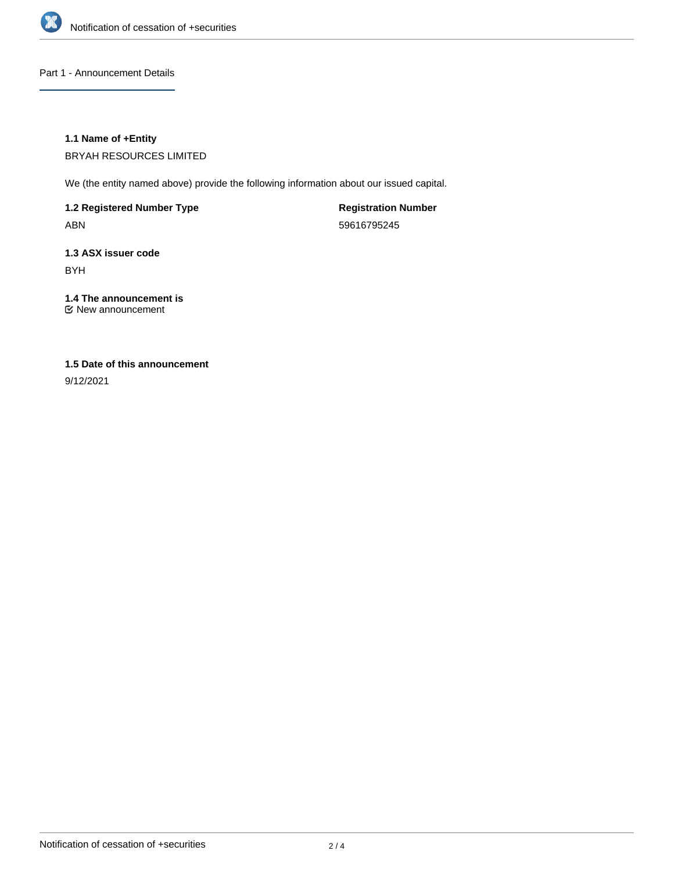

Part 1 - Announcement Details

#### **1.1 Name of +Entity**

BRYAH RESOURCES LIMITED

We (the entity named above) provide the following information about our issued capital.

**1.2 Registered Number Type** ABN

**Registration Number** 59616795245

**1.3 ASX issuer code** BYH

**1.4 The announcement is** New announcement

## **1.5 Date of this announcement**

9/12/2021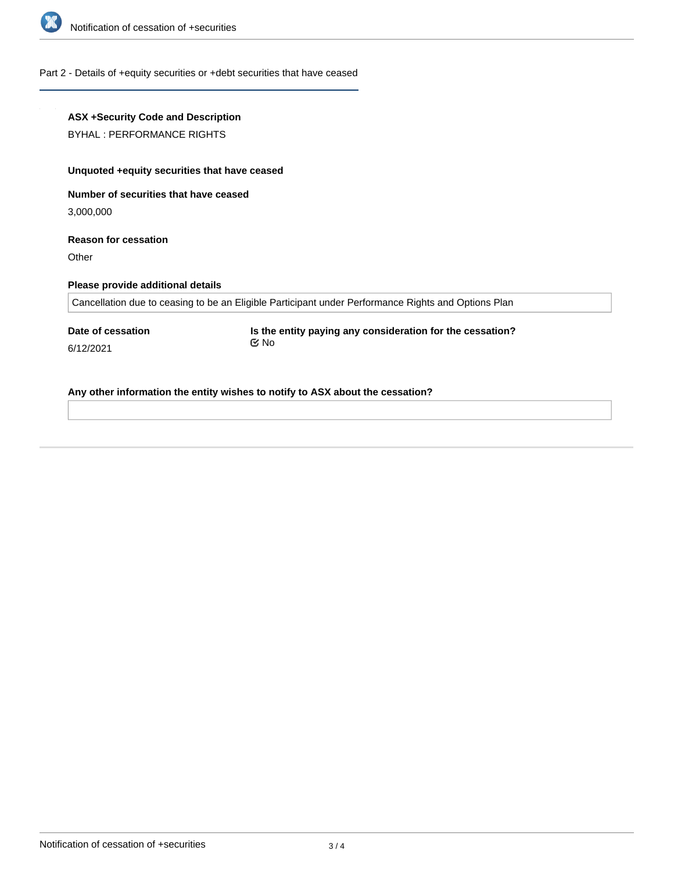

#### Part 2 - Details of +equity securities or +debt securities that have ceased

# **ASX +Security Code and Description** BYHAL : PERFORMANCE RIGHTS **Unquoted +equity securities that have ceased Number of securities that have ceased** 3,000,000 **Reason for cessation Other Please provide additional details** Cancellation due to ceasing to be an Eligible Participant under Performance Rights and Options Plan **Date of cessation** 6/12/2021 **Is the entity paying any consideration for the cessation?** No

**Any other information the entity wishes to notify to ASX about the cessation?**